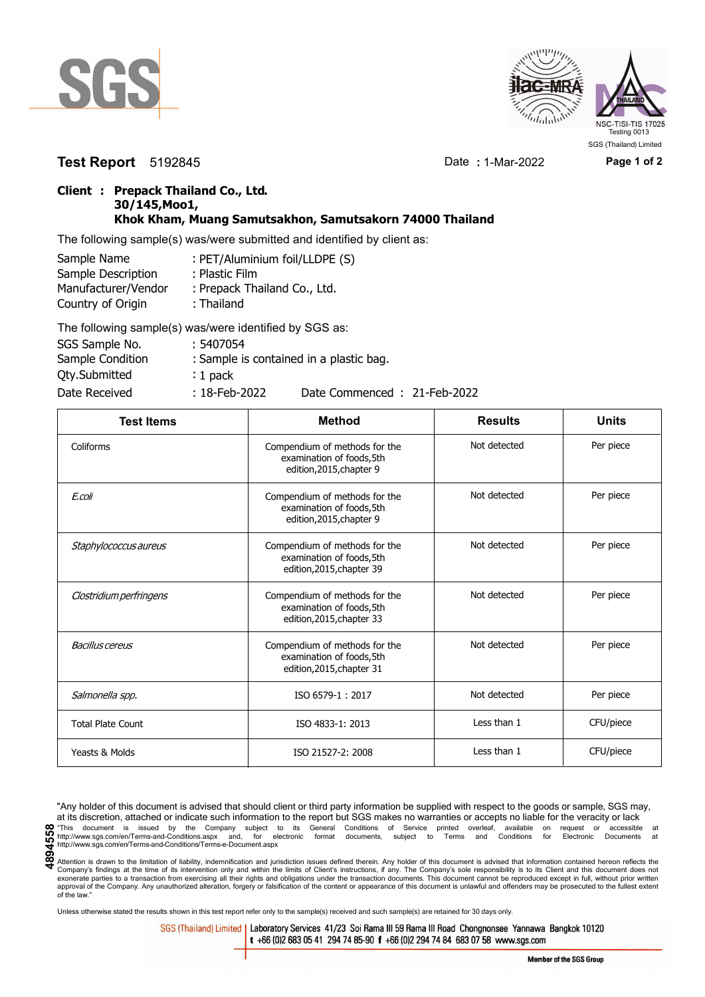



**Test Report** 5192845 Date **:** 1-Mar-2022 **Page 1 of 2**

SGS (Thailand) Limited

## **Client : Prepack Thailand Co., Ltd. 30/145,Moo1, Khok Kham, Muang Samutsakhon, Samutsakorn 74000 Thailand**

The following sample(s) was/were submitted and identified by client as:

| Sample Name         | : PET/Aluminium foil/LLDPE (S) |
|---------------------|--------------------------------|
| Sample Description  | : Plastic Film                 |
| Manufacturer/Vendor | : Prepack Thailand Co., Ltd.   |
| Country of Origin   | : Thailand                     |
|                     | TILITI ISLA ILI ILI ACCHI      |

| The following sample(s) was/were identified by SGS as: |                  |                                         |
|--------------------------------------------------------|------------------|-----------------------------------------|
| SGS Sample No.                                         | : 5407054        |                                         |
| Sample Condition                                       |                  | : Sample is contained in a plastic bag. |
| Qty.Submitted                                          | $: 1$ pack       |                                         |
| Date Received                                          | $: 18$ -Feb-2022 | Date Commenced: 21-Feb-2022             |

| <b>Test Items</b>        | <b>Method</b>                                                                           | <b>Results</b> | <b>Units</b> |
|--------------------------|-----------------------------------------------------------------------------------------|----------------|--------------|
| Coliforms                | Compendium of methods for the<br>examination of foods, 5th<br>edition, 2015, chapter 9  | Not detected   | Per piece    |
| E.coli                   | Compendium of methods for the<br>examination of foods,5th<br>edition, 2015, chapter 9   | Not detected   | Per piece    |
| Staphylococcus aureus    | Compendium of methods for the<br>examination of foods,5th<br>edition, 2015, chapter 39  | Not detected   | Per piece    |
| Clostridium perfringens  | Compendium of methods for the<br>examination of foods, 5th<br>edition, 2015, chapter 33 | Not detected   | Per piece    |
| <b>Bacillus cereus</b>   | Compendium of methods for the<br>examination of foods, 5th<br>edition, 2015, chapter 31 | Not detected   | Per piece    |
| Salmonella spp.          | ISO 6579-1:2017                                                                         | Not detected   | Per piece    |
| <b>Total Plate Count</b> | ISO 4833-1: 2013                                                                        | Less than 1    | CFU/piece    |
| Yeasts & Molds           | ISO 21527-2: 2008                                                                       | Less than 1    | CFU/piece    |

"Any holder of this document is advised that should client or third party information be supplied with respect to the goods or sample, SGS may, at its discretion, attached or indicate such information to the report but SGS makes no warranties or accepts no liable for the veracity or lack **CO** This document is issued by the Company subject to its General Conditions of Service printed overleaf, available on request or accessible at the enterprison of the company subject to its General Conditions of Service p http://www.sgs.com/en/Terms-and-Conditions/Terms-e-Document.aspx

Unless otherwise stated the results shown in this test report refer only to the sample(s) received and such sample(s) are retained for 30 days only.

SGS (Thailand) Limited | Laboratory Services 41/23 Soi Rama III 59 Rama III Road Chongnonsee Yannawa Bangkok 10120 t +66 (0)2 683 05 41 294 74 85-90 f +66 (0)2 294 74 84 683 07 58 www.sgs.com